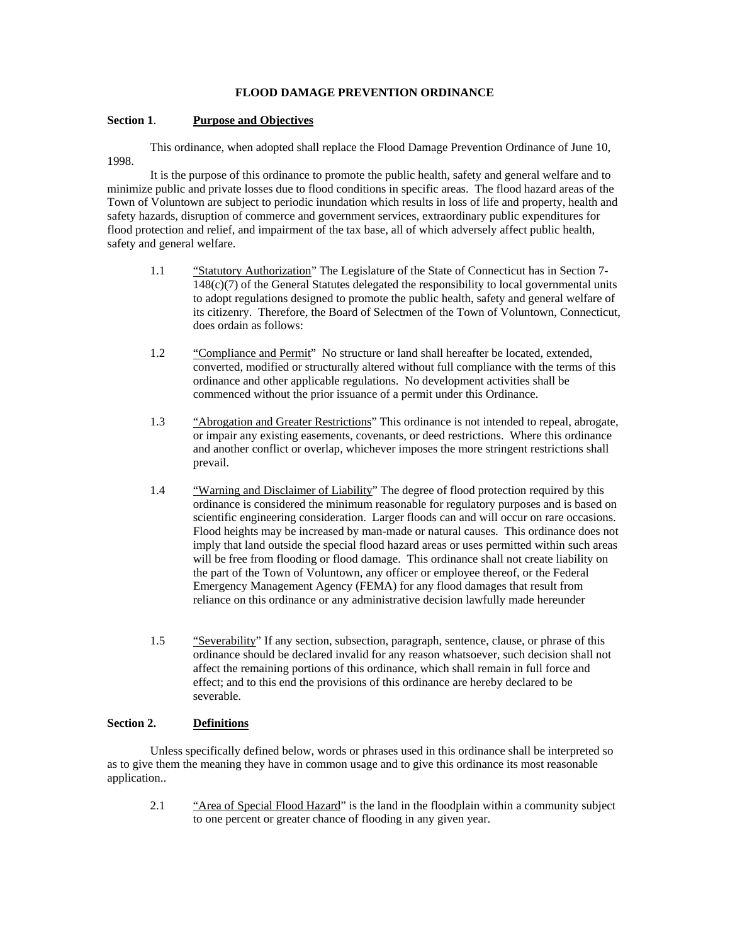## **FLOOD DAMAGE PREVENTION ORDINANCE**

#### **Section 1**. **Purpose and Objectives**

 This ordinance, when adopted shall replace the Flood Damage Prevention Ordinance of June 10, 1998.

It is the purpose of this ordinance to promote the public health, safety and general welfare and to minimize public and private losses due to flood conditions in specific areas. The flood hazard areas of the Town of Voluntown are subject to periodic inundation which results in loss of life and property, health and safety hazards, disruption of commerce and government services, extraordinary public expenditures for flood protection and relief, and impairment of the tax base, all of which adversely affect public health, safety and general welfare.

- 1.1 "Statutory Authorization" The Legislature of the State of Connecticut has in Section 7- 148(c)(7) of the General Statutes delegated the responsibility to local governmental units to adopt regulations designed to promote the public health, safety and general welfare of its citizenry. Therefore, the Board of Selectmen of the Town of Voluntown, Connecticut, does ordain as follows:
- 1.2 "Compliance and Permit" No structure or land shall hereafter be located, extended, converted, modified or structurally altered without full compliance with the terms of this ordinance and other applicable regulations. No development activities shall be commenced without the prior issuance of a permit under this Ordinance.
- 1.3 "Abrogation and Greater Restrictions" This ordinance is not intended to repeal, abrogate, or impair any existing easements, covenants, or deed restrictions. Where this ordinance and another conflict or overlap, whichever imposes the more stringent restrictions shall prevail.
- 1.4 "Warning and Disclaimer of Liability" The degree of flood protection required by this ordinance is considered the minimum reasonable for regulatory purposes and is based on scientific engineering consideration. Larger floods can and will occur on rare occasions. Flood heights may be increased by man-made or natural causes. This ordinance does not imply that land outside the special flood hazard areas or uses permitted within such areas will be free from flooding or flood damage. This ordinance shall not create liability on the part of the Town of Voluntown, any officer or employee thereof, or the Federal Emergency Management Agency (FEMA) for any flood damages that result from reliance on this ordinance or any administrative decision lawfully made hereunder
- 1.5 "Severability" If any section, subsection, paragraph, sentence, clause, or phrase of this ordinance should be declared invalid for any reason whatsoever, such decision shall not affect the remaining portions of this ordinance, which shall remain in full force and effect; and to this end the provisions of this ordinance are hereby declared to be severable.

### **Section 2. Definitions**

Unless specifically defined below, words or phrases used in this ordinance shall be interpreted so as to give them the meaning they have in common usage and to give this ordinance its most reasonable application..

2.1 "Area of Special Flood Hazard" is the land in the floodplain within a community subject to one percent or greater chance of flooding in any given year.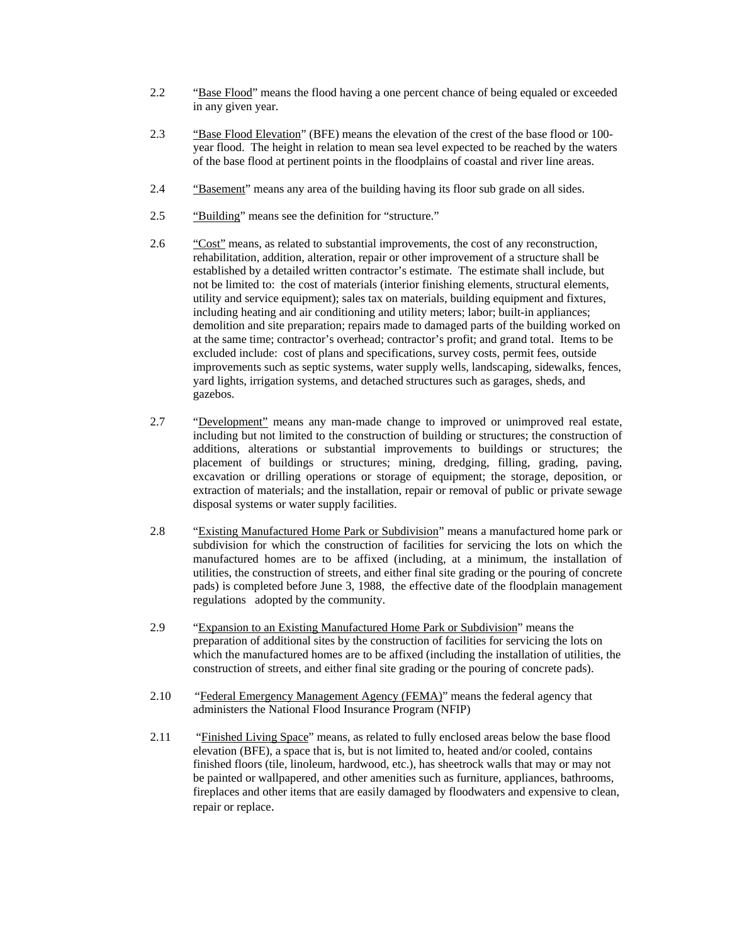- 2.2 "Base Flood" means the flood having a one percent chance of being equaled or exceeded in any given year.
- 2.3 "Base Flood Elevation" (BFE) means the elevation of the crest of the base flood or 100 year flood. The height in relation to mean sea level expected to be reached by the waters of the base flood at pertinent points in the floodplains of coastal and river line areas.
- 2.4 "Basement" means any area of the building having its floor sub grade on all sides.
- 2.5 "Building" means see the definition for "structure."
- 2.6 "Cost" means, as related to substantial improvements, the cost of any reconstruction, rehabilitation, addition, alteration, repair or other improvement of a structure shall be established by a detailed written contractor's estimate. The estimate shall include, but not be limited to: the cost of materials (interior finishing elements, structural elements, utility and service equipment); sales tax on materials, building equipment and fixtures, including heating and air conditioning and utility meters; labor; built-in appliances; demolition and site preparation; repairs made to damaged parts of the building worked on at the same time; contractor's overhead; contractor's profit; and grand total. Items to be excluded include: cost of plans and specifications, survey costs, permit fees, outside improvements such as septic systems, water supply wells, landscaping, sidewalks, fences, yard lights, irrigation systems, and detached structures such as garages, sheds, and gazebos.
- 2.7 "Development" means any man-made change to improved or unimproved real estate, including but not limited to the construction of building or structures; the construction of additions, alterations or substantial improvements to buildings or structures; the placement of buildings or structures; mining, dredging, filling, grading, paving, excavation or drilling operations or storage of equipment; the storage, deposition, or extraction of materials; and the installation, repair or removal of public or private sewage disposal systems or water supply facilities.
- 2.8 "Existing Manufactured Home Park or Subdivision" means a manufactured home park or subdivision for which the construction of facilities for servicing the lots on which the manufactured homes are to be affixed (including, at a minimum, the installation of utilities, the construction of streets, and either final site grading or the pouring of concrete pads) is completed before June 3, 1988, the effective date of the floodplain management regulations adopted by the community.
- 2.9 "Expansion to an Existing Manufactured Home Park or Subdivision" means the preparation of additional sites by the construction of facilities for servicing the lots on which the manufactured homes are to be affixed (including the installation of utilities, the construction of streets, and either final site grading or the pouring of concrete pads).
- 2.10 "Federal Emergency Management Agency (FEMA)" means the federal agency that administers the National Flood Insurance Program (NFIP)
- 2.11 "Finished Living Space" means, as related to fully enclosed areas below the base flood elevation (BFE), a space that is, but is not limited to, heated and/or cooled, contains finished floors (tile, linoleum, hardwood, etc.), has sheetrock walls that may or may not be painted or wallpapered, and other amenities such as furniture, appliances, bathrooms, fireplaces and other items that are easily damaged by floodwaters and expensive to clean, repair or replace.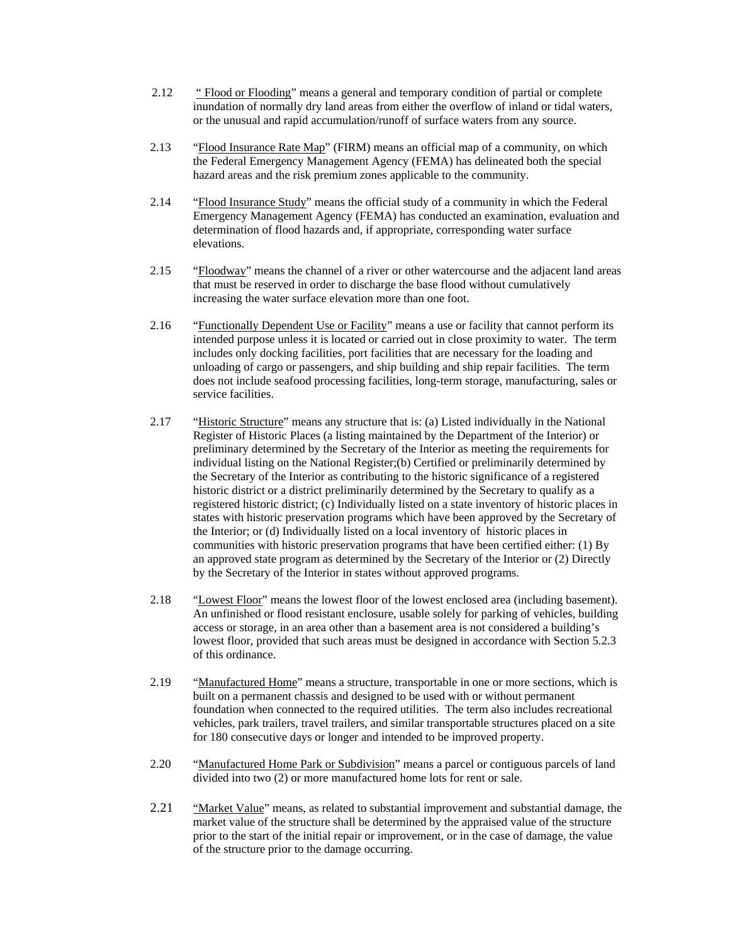- 2.12 " Flood or Flooding" means a general and temporary condition of partial or complete inundation of normally dry land areas from either the overflow of inland or tidal waters, or the unusual and rapid accumulation/runoff of surface waters from any source.
- 2.13 "Flood Insurance Rate Map" (FIRM) means an official map of a community, on which the Federal Emergency Management Agency (FEMA) has delineated both the special hazard areas and the risk premium zones applicable to the community.
- 2.14 "Flood Insurance Study" means the official study of a community in which the Federal Emergency Management Agency (FEMA) has conducted an examination, evaluation and determination of flood hazards and, if appropriate, corresponding water surface elevations.
- 2.15 "Floodway" means the channel of a river or other watercourse and the adjacent land areas that must be reserved in order to discharge the base flood without cumulatively increasing the water surface elevation more than one foot.
- 2.16 "Functionally Dependent Use or Facility" means a use or facility that cannot perform its intended purpose unless it is located or carried out in close proximity to water. The term includes only docking facilities, port facilities that are necessary for the loading and unloading of cargo or passengers, and ship building and ship repair facilities. The term does not include seafood processing facilities, long-term storage, manufacturing, sales or service facilities.
- 2.17 "Historic Structure" means any structure that is: (a) Listed individually in the National Register of Historic Places (a listing maintained by the Department of the Interior) or preliminary determined by the Secretary of the Interior as meeting the requirements for individual listing on the National Register;(b) Certified or preliminarily determined by the Secretary of the Interior as contributing to the historic significance of a registered historic district or a district preliminarily determined by the Secretary to qualify as a registered historic district; (c) Individually listed on a state inventory of historic places in states with historic preservation programs which have been approved by the Secretary of the Interior; or (d) Individually listed on a local inventory of historic places in communities with historic preservation programs that have been certified either: (1) By an approved state program as determined by the Secretary of the Interior or (2) Directly by the Secretary of the Interior in states without approved programs.
- 2.18 "Lowest Floor" means the lowest floor of the lowest enclosed area (including basement). An unfinished or flood resistant enclosure, usable solely for parking of vehicles, building access or storage, in an area other than a basement area is not considered a building's lowest floor, provided that such areas must be designed in accordance with Section 5.2.3 of this ordinance.
- 2.19 "Manufactured Home" means a structure, transportable in one or more sections, which is built on a permanent chassis and designed to be used with or without permanent foundation when connected to the required utilities. The term also includes recreational vehicles, park trailers, travel trailers, and similar transportable structures placed on a site for 180 consecutive days or longer and intended to be improved property.
- 2.20 "Manufactured Home Park or Subdivision" means a parcel or contiguous parcels of land divided into two (2) or more manufactured home lots for rent or sale.
- 2.21 "Market Value" means, as related to substantial improvement and substantial damage, the market value of the structure shall be determined by the appraised value of the structure prior to the start of the initial repair or improvement, or in the case of damage, the value of the structure prior to the damage occurring.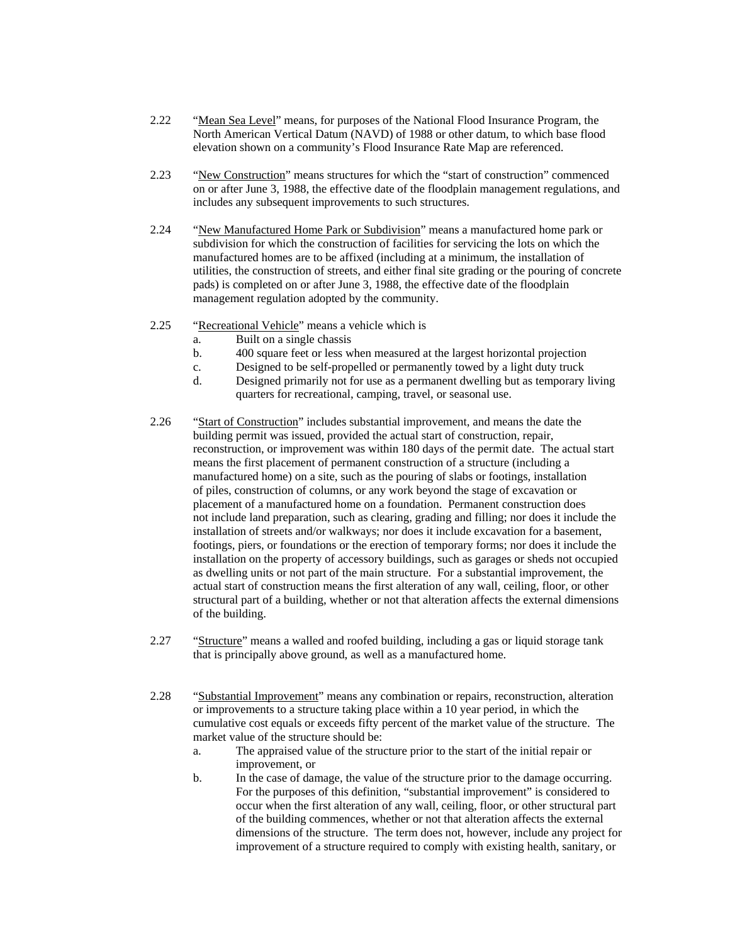- 2.22 "Mean Sea Level" means, for purposes of the National Flood Insurance Program, the North American Vertical Datum (NAVD) of 1988 or other datum, to which base flood elevation shown on a community's Flood Insurance Rate Map are referenced.
- 2.23 "New Construction" means structures for which the "start of construction" commenced on or after June 3, 1988, the effective date of the floodplain management regulations, and includes any subsequent improvements to such structures.
- 2.24 "New Manufactured Home Park or Subdivision" means a manufactured home park or subdivision for which the construction of facilities for servicing the lots on which the manufactured homes are to be affixed (including at a minimum, the installation of utilities, the construction of streets, and either final site grading or the pouring of concrete pads) is completed on or after June 3, 1988, the effective date of the floodplain management regulation adopted by the community.
- 2.25 "Recreational Vehicle" means a vehicle which is
	- a. Built on a single chassis
	- b. 400 square feet or less when measured at the largest horizontal projection
	- c. Designed to be self-propelled or permanently towed by a light duty truck
	- d. Designed primarily not for use as a permanent dwelling but as temporary living quarters for recreational, camping, travel, or seasonal use.
- 2.26 "Start of Construction" includes substantial improvement, and means the date the building permit was issued, provided the actual start of construction, repair, reconstruction, or improvement was within 180 days of the permit date. The actual start means the first placement of permanent construction of a structure (including a manufactured home) on a site, such as the pouring of slabs or footings, installation of piles, construction of columns, or any work beyond the stage of excavation or placement of a manufactured home on a foundation. Permanent construction does not include land preparation, such as clearing, grading and filling; nor does it include the installation of streets and/or walkways; nor does it include excavation for a basement, footings, piers, or foundations or the erection of temporary forms; nor does it include the installation on the property of accessory buildings, such as garages or sheds not occupied as dwelling units or not part of the main structure. For a substantial improvement, the actual start of construction means the first alteration of any wall, ceiling, floor, or other structural part of a building, whether or not that alteration affects the external dimensions of the building.
- 2.27 "Structure" means a walled and roofed building, including a gas or liquid storage tank that is principally above ground, as well as a manufactured home.
- 2.28 "Substantial Improvement" means any combination or repairs, reconstruction, alteration or improvements to a structure taking place within a 10 year period, in which the cumulative cost equals or exceeds fifty percent of the market value of the structure. The market value of the structure should be:
	- a. The appraised value of the structure prior to the start of the initial repair or improvement, or
	- b. In the case of damage, the value of the structure prior to the damage occurring. For the purposes of this definition, "substantial improvement" is considered to occur when the first alteration of any wall, ceiling, floor, or other structural part of the building commences, whether or not that alteration affects the external dimensions of the structure. The term does not, however, include any project for improvement of a structure required to comply with existing health, sanitary, or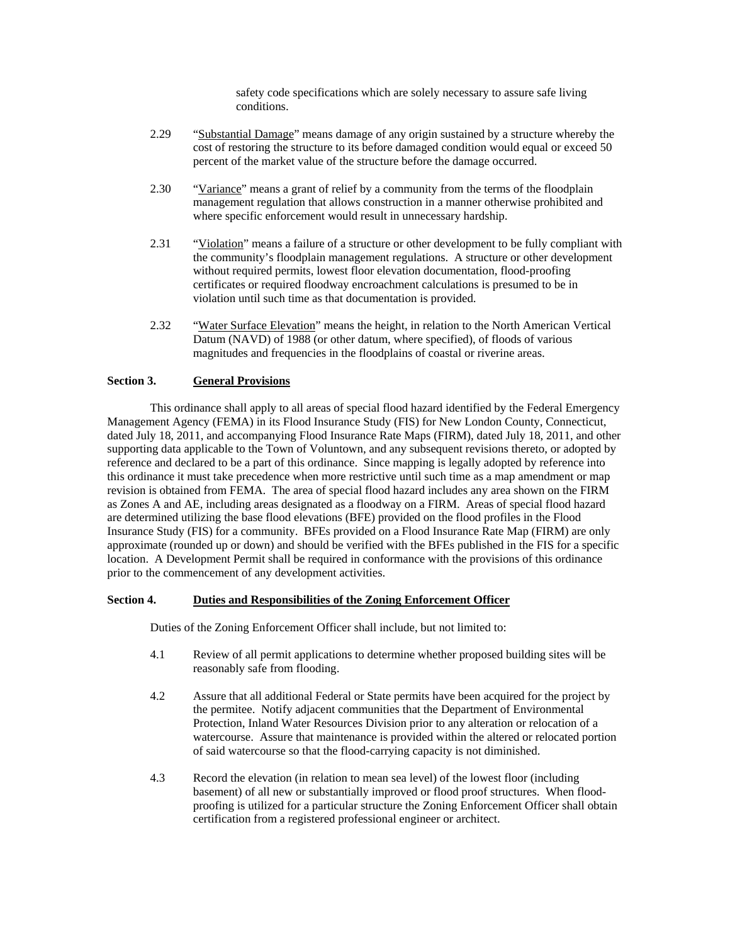safety code specifications which are solely necessary to assure safe living conditions.

- 2.29 "Substantial Damage" means damage of any origin sustained by a structure whereby the cost of restoring the structure to its before damaged condition would equal or exceed 50 percent of the market value of the structure before the damage occurred.
- 2.30 "Variance" means a grant of relief by a community from the terms of the floodplain management regulation that allows construction in a manner otherwise prohibited and where specific enforcement would result in unnecessary hardship.
- 2.31 "Violation" means a failure of a structure or other development to be fully compliant with the community's floodplain management regulations. A structure or other development without required permits, lowest floor elevation documentation, flood-proofing certificates or required floodway encroachment calculations is presumed to be in violation until such time as that documentation is provided.
- 2.32 "Water Surface Elevation" means the height, in relation to the North American Vertical Datum (NAVD) of 1988 (or other datum, where specified), of floods of various magnitudes and frequencies in the floodplains of coastal or riverine areas.

# **Section 3. General Provisions**

This ordinance shall apply to all areas of special flood hazard identified by the Federal Emergency Management Agency (FEMA) in its Flood Insurance Study (FIS) for New London County, Connecticut, dated July 18, 2011, and accompanying Flood Insurance Rate Maps (FIRM), dated July 18, 2011, and other supporting data applicable to the Town of Voluntown, and any subsequent revisions thereto, or adopted by reference and declared to be a part of this ordinance. Since mapping is legally adopted by reference into this ordinance it must take precedence when more restrictive until such time as a map amendment or map revision is obtained from FEMA. The area of special flood hazard includes any area shown on the FIRM as Zones A and AE, including areas designated as a floodway on a FIRM. Areas of special flood hazard are determined utilizing the base flood elevations (BFE) provided on the flood profiles in the Flood Insurance Study (FIS) for a community. BFEs provided on a Flood Insurance Rate Map (FIRM) are only approximate (rounded up or down) and should be verified with the BFEs published in the FIS for a specific location. A Development Permit shall be required in conformance with the provisions of this ordinance prior to the commencement of any development activities.

### **Section 4. Duties and Responsibilities of the Zoning Enforcement Officer**

Duties of the Zoning Enforcement Officer shall include, but not limited to:

- 4.1 Review of all permit applications to determine whether proposed building sites will be reasonably safe from flooding.
- 4.2 Assure that all additional Federal or State permits have been acquired for the project by the permitee. Notify adjacent communities that the Department of Environmental Protection, Inland Water Resources Division prior to any alteration or relocation of a watercourse. Assure that maintenance is provided within the altered or relocated portion of said watercourse so that the flood-carrying capacity is not diminished.
- 4.3 Record the elevation (in relation to mean sea level) of the lowest floor (including basement) of all new or substantially improved or flood proof structures. When floodproofing is utilized for a particular structure the Zoning Enforcement Officer shall obtain certification from a registered professional engineer or architect.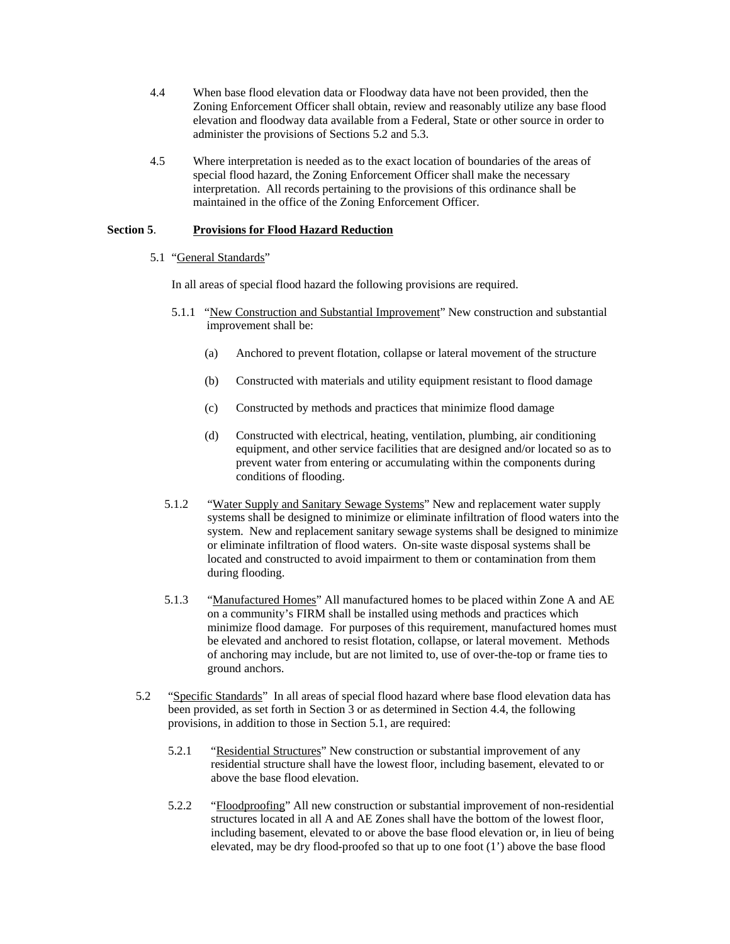- 4.4 When base flood elevation data or Floodway data have not been provided, then the Zoning Enforcement Officer shall obtain, review and reasonably utilize any base flood elevation and floodway data available from a Federal, State or other source in order to administer the provisions of Sections 5.2 and 5.3.
- 4.5 Where interpretation is needed as to the exact location of boundaries of the areas of special flood hazard, the Zoning Enforcement Officer shall make the necessary interpretation. All records pertaining to the provisions of this ordinance shall be maintained in the office of the Zoning Enforcement Officer.

# **Section 5**. **Provisions for Flood Hazard Reduction**

## 5.1 "General Standards"

In all areas of special flood hazard the following provisions are required.

- 5.1.1 "New Construction and Substantial Improvement" New construction and substantial improvement shall be:
	- (a) Anchored to prevent flotation, collapse or lateral movement of the structure
	- (b) Constructed with materials and utility equipment resistant to flood damage
	- (c) Constructed by methods and practices that minimize flood damage
	- (d) Constructed with electrical, heating, ventilation, plumbing, air conditioning equipment, and other service facilities that are designed and/or located so as to prevent water from entering or accumulating within the components during conditions of flooding.
- 5.1.2 "Water Supply and Sanitary Sewage Systems" New and replacement water supply systems shall be designed to minimize or eliminate infiltration of flood waters into the system. New and replacement sanitary sewage systems shall be designed to minimize or eliminate infiltration of flood waters. On-site waste disposal systems shall be located and constructed to avoid impairment to them or contamination from them during flooding.
- 5.1.3 "Manufactured Homes" All manufactured homes to be placed within Zone A and AE on a community's FIRM shall be installed using methods and practices which minimize flood damage. For purposes of this requirement, manufactured homes must be elevated and anchored to resist flotation, collapse, or lateral movement. Methods of anchoring may include, but are not limited to, use of over-the-top or frame ties to ground anchors.
- 5.2 "Specific Standards" In all areas of special flood hazard where base flood elevation data has been provided, as set forth in Section 3 or as determined in Section 4.4, the following provisions, in addition to those in Section 5.1, are required:
	- 5.2.1 "Residential Structures" New construction or substantial improvement of any residential structure shall have the lowest floor, including basement, elevated to or above the base flood elevation.
	- 5.2.2 "Floodproofing" All new construction or substantial improvement of non-residential structures located in all A and AE Zones shall have the bottom of the lowest floor, including basement, elevated to or above the base flood elevation or, in lieu of being elevated, may be dry flood-proofed so that up to one foot (1') above the base flood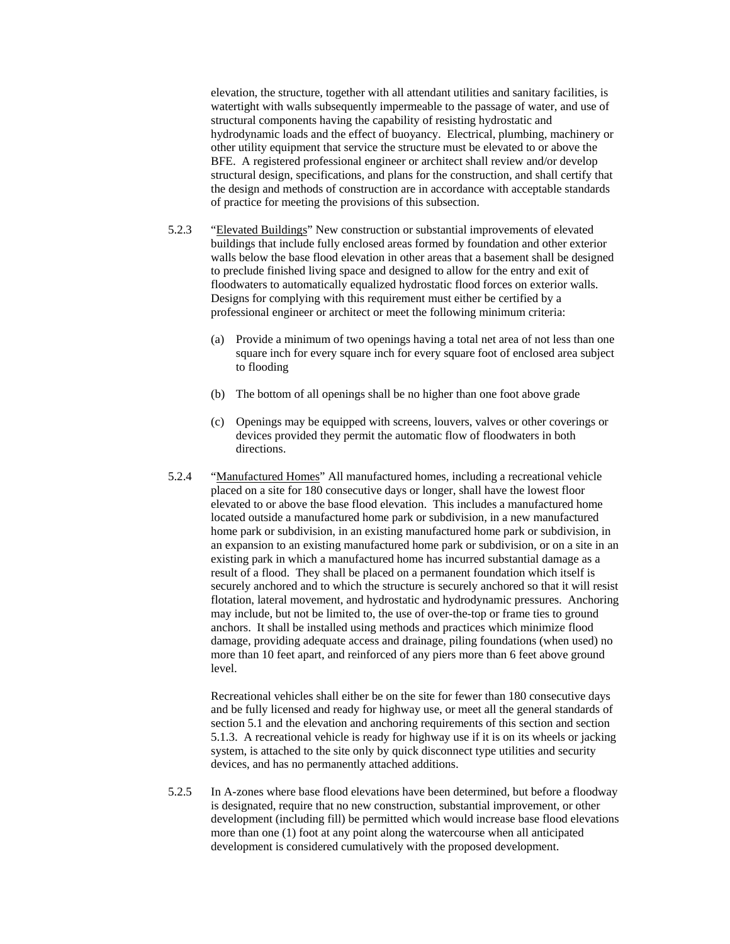elevation, the structure, together with all attendant utilities and sanitary facilities, is watertight with walls subsequently impermeable to the passage of water, and use of structural components having the capability of resisting hydrostatic and hydrodynamic loads and the effect of buoyancy. Electrical, plumbing, machinery or other utility equipment that service the structure must be elevated to or above the BFE. A registered professional engineer or architect shall review and/or develop structural design, specifications, and plans for the construction, and shall certify that the design and methods of construction are in accordance with acceptable standards of practice for meeting the provisions of this subsection.

- 5.2.3 "Elevated Buildings" New construction or substantial improvements of elevated buildings that include fully enclosed areas formed by foundation and other exterior walls below the base flood elevation in other areas that a basement shall be designed to preclude finished living space and designed to allow for the entry and exit of floodwaters to automatically equalized hydrostatic flood forces on exterior walls. Designs for complying with this requirement must either be certified by a professional engineer or architect or meet the following minimum criteria:
	- (a) Provide a minimum of two openings having a total net area of not less than one square inch for every square inch for every square foot of enclosed area subject to flooding
	- (b) The bottom of all openings shall be no higher than one foot above grade
	- (c) Openings may be equipped with screens, louvers, valves or other coverings or devices provided they permit the automatic flow of floodwaters in both directions.
- 5.2.4 "Manufactured Homes" All manufactured homes, including a recreational vehicle placed on a site for 180 consecutive days or longer, shall have the lowest floor elevated to or above the base flood elevation. This includes a manufactured home located outside a manufactured home park or subdivision, in a new manufactured home park or subdivision, in an existing manufactured home park or subdivision, in an expansion to an existing manufactured home park or subdivision, or on a site in an existing park in which a manufactured home has incurred substantial damage as a result of a flood. They shall be placed on a permanent foundation which itself is securely anchored and to which the structure is securely anchored so that it will resist flotation, lateral movement, and hydrostatic and hydrodynamic pressures. Anchoring may include, but not be limited to, the use of over-the-top or frame ties to ground anchors. It shall be installed using methods and practices which minimize flood damage, providing adequate access and drainage, piling foundations (when used) no more than 10 feet apart, and reinforced of any piers more than 6 feet above ground level.

Recreational vehicles shall either be on the site for fewer than 180 consecutive days and be fully licensed and ready for highway use, or meet all the general standards of section 5.1 and the elevation and anchoring requirements of this section and section 5.1.3. A recreational vehicle is ready for highway use if it is on its wheels or jacking system, is attached to the site only by quick disconnect type utilities and security devices, and has no permanently attached additions.

5.2.5 In A-zones where base flood elevations have been determined, but before a floodway is designated, require that no new construction, substantial improvement, or other development (including fill) be permitted which would increase base flood elevations more than one (1) foot at any point along the watercourse when all anticipated development is considered cumulatively with the proposed development.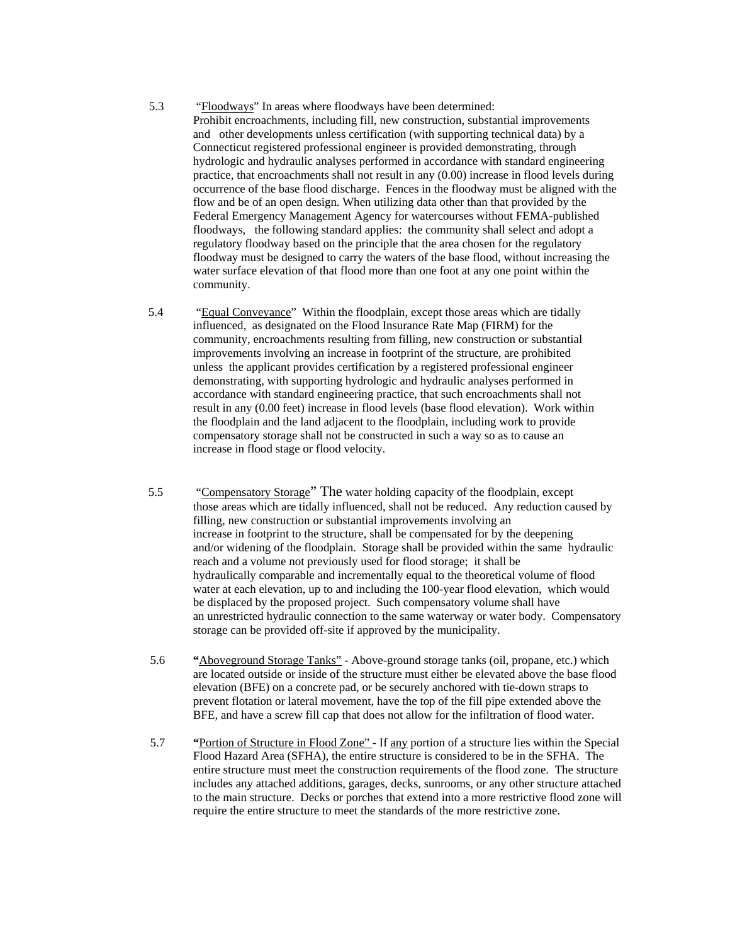- 5.3 "Floodways" In areas where floodways have been determined: Prohibit encroachments, including fill, new construction, substantial improvements and other developments unless certification (with supporting technical data) by a Connecticut registered professional engineer is provided demonstrating, through hydrologic and hydraulic analyses performed in accordance with standard engineering practice, that encroachments shall not result in any (0.00) increase in flood levels during occurrence of the base flood discharge. Fences in the floodway must be aligned with the flow and be of an open design. When utilizing data other than that provided by the Federal Emergency Management Agency for watercourses without FEMA-published floodways, the following standard applies: the community shall select and adopt a regulatory floodway based on the principle that the area chosen for the regulatory floodway must be designed to carry the waters of the base flood, without increasing the water surface elevation of that flood more than one foot at any one point within the community.
- 5.4 "Equal Conveyance" Within the floodplain, except those areas which are tidally influenced, as designated on the Flood Insurance Rate Map (FIRM) for the community, encroachments resulting from filling, new construction or substantial improvements involving an increase in footprint of the structure, are prohibited unless the applicant provides certification by a registered professional engineer demonstrating, with supporting hydrologic and hydraulic analyses performed in accordance with standard engineering practice, that such encroachments shall not result in any (0.00 feet) increase in flood levels (base flood elevation). Work within the floodplain and the land adjacent to the floodplain, including work to provide compensatory storage shall not be constructed in such a way so as to cause an increase in flood stage or flood velocity.
- 5.5 "Compensatory Storage" The water holding capacity of the floodplain, except those areas which are tidally influenced, shall not be reduced. Any reduction caused by filling, new construction or substantial improvements involving an increase in footprint to the structure, shall be compensated for by the deepening and/or widening of the floodplain. Storage shall be provided within the same hydraulic reach and a volume not previously used for flood storage; it shall be hydraulically comparable and incrementally equal to the theoretical volume of flood water at each elevation, up to and including the 100-year flood elevation, which would be displaced by the proposed project. Such compensatory volume shall have an unrestricted hydraulic connection to the same waterway or water body. Compensatory storage can be provided off-site if approved by the municipality.
- 5.6 **"**Aboveground Storage Tanks" Above-ground storage tanks (oil, propane, etc.) which are located outside or inside of the structure must either be elevated above the base flood elevation (BFE) on a concrete pad, or be securely anchored with tie-down straps to prevent flotation or lateral movement, have the top of the fill pipe extended above the BFE, and have a screw fill cap that does not allow for the infiltration of flood water.
- 5.7 **"**Portion of Structure in Flood Zone" If any portion of a structure lies within the Special Flood Hazard Area (SFHA), the entire structure is considered to be in the SFHA. The entire structure must meet the construction requirements of the flood zone. The structure includes any attached additions, garages, decks, sunrooms, or any other structure attached to the main structure. Decks or porches that extend into a more restrictive flood zone will require the entire structure to meet the standards of the more restrictive zone.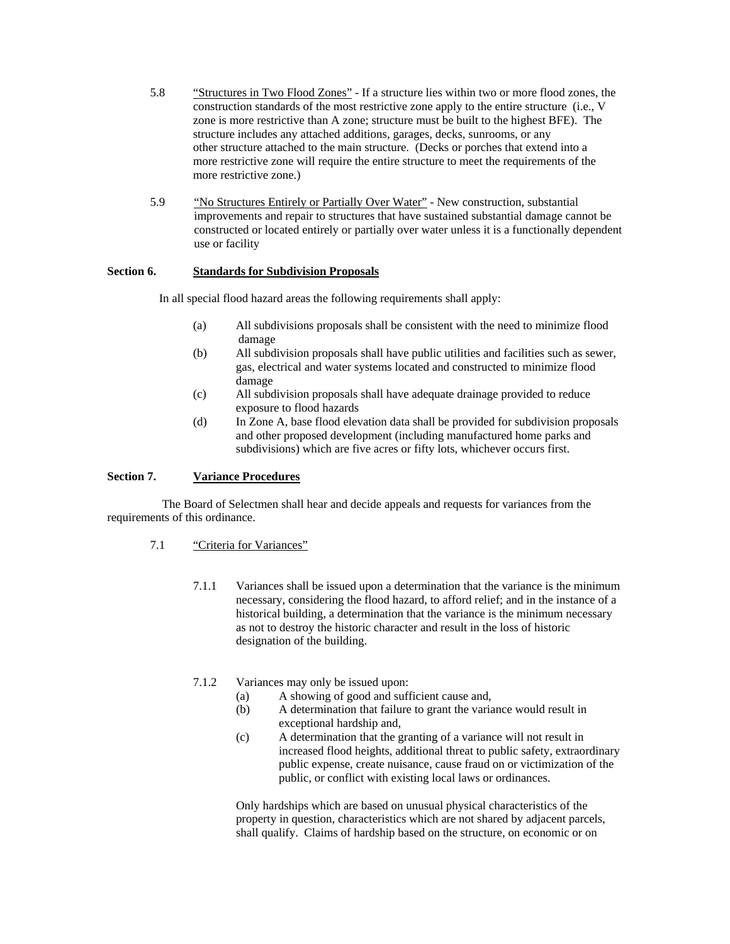- 5.8 "Structures in Two Flood Zones" If a structure lies within two or more flood zones, the construction standards of the most restrictive zone apply to the entire structure (i.e., V zone is more restrictive than A zone; structure must be built to the highest BFE). The structure includes any attached additions, garages, decks, sunrooms, or any other structure attached to the main structure. (Decks or porches that extend into a more restrictive zone will require the entire structure to meet the requirements of the more restrictive zone.)
- 5.9 "No Structures Entirely or Partially Over Water" New construction, substantial improvements and repair to structures that have sustained substantial damage cannot be constructed or located entirely or partially over water unless it is a functionally dependent use or facility

# **Section 6. Standards for Subdivision Proposals**

In all special flood hazard areas the following requirements shall apply:

- (a) All subdivisions proposals shall be consistent with the need to minimize flood damage
- (b) All subdivision proposals shall have public utilities and facilities such as sewer, gas, electrical and water systems located and constructed to minimize flood damage
- (c) All subdivision proposals shall have adequate drainage provided to reduce exposure to flood hazards
- (d) In Zone A, base flood elevation data shall be provided for subdivision proposals and other proposed development (including manufactured home parks and subdivisions) which are five acres or fifty lots, whichever occurs first.

### **Section 7. Variance Procedures**

 The Board of Selectmen shall hear and decide appeals and requests for variances from the requirements of this ordinance.

### 7.1 "Criteria for Variances"

7.1.1 Variances shall be issued upon a determination that the variance is the minimum necessary, considering the flood hazard, to afford relief; and in the instance of a historical building, a determination that the variance is the minimum necessary as not to destroy the historic character and result in the loss of historic designation of the building.

# 7.1.2 Variances may only be issued upon:

- (a) A showing of good and sufficient cause and,
- (b) A determination that failure to grant the variance would result in exceptional hardship and,
- (c) A determination that the granting of a variance will not result in increased flood heights, additional threat to public safety, extraordinary public expense, create nuisance, cause fraud on or victimization of the public, or conflict with existing local laws or ordinances.

Only hardships which are based on unusual physical characteristics of the property in question, characteristics which are not shared by adjacent parcels, shall qualify. Claims of hardship based on the structure, on economic or on